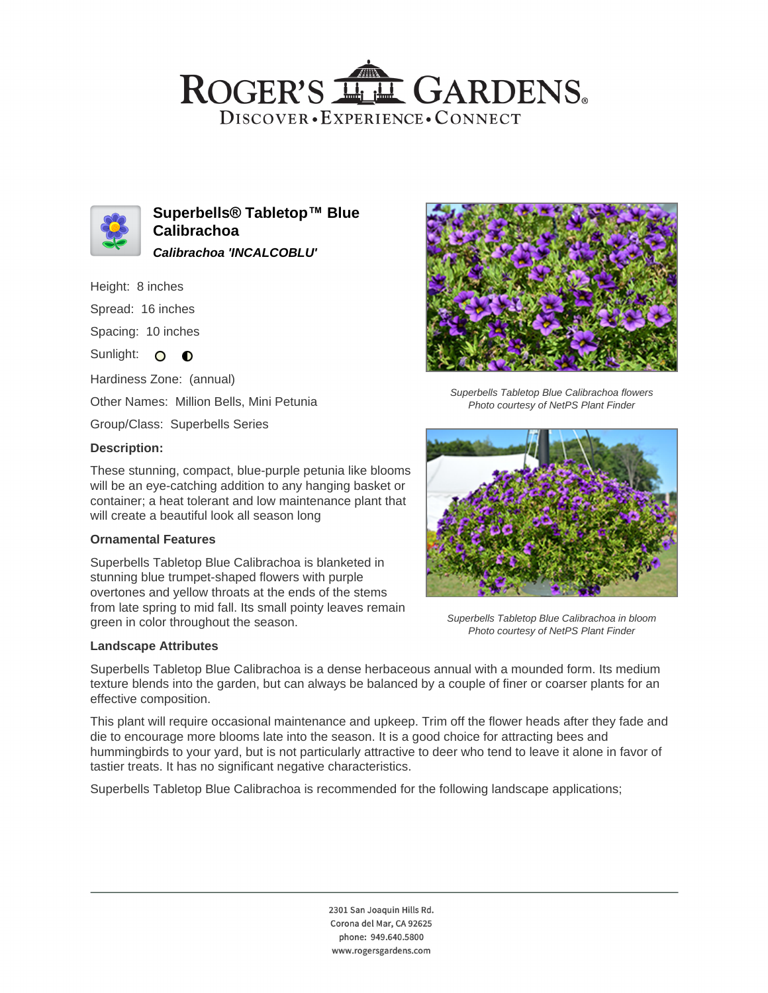# ROGER'S LL GARDENS. DISCOVER · EXPERIENCE · CONNECT



**Superbells® Tabletop™ Blue Calibrachoa Calibrachoa 'INCALCOBLU'**

Height: 8 inches

Spread: 16 inches

Spacing: 10 inches

Sunlight: O O

Hardiness Zone: (annual)

Other Names: Million Bells, Mini Petunia

Group/Class: Superbells Series

## **Description:**

These stunning, compact, blue-purple petunia like blooms will be an eye-catching addition to any hanging basket or container; a heat tolerant and low maintenance plant that will create a beautiful look all season long

#### **Ornamental Features**

Superbells Tabletop Blue Calibrachoa is blanketed in stunning blue trumpet-shaped flowers with purple overtones and yellow throats at the ends of the stems from late spring to mid fall. Its small pointy leaves remain green in color throughout the season.

#### **Landscape Attributes**

Superbells Tabletop Blue Calibrachoa is a dense herbaceous annual with a mounded form. Its medium texture blends into the garden, but can always be balanced by a couple of finer or coarser plants for an effective composition.

This plant will require occasional maintenance and upkeep. Trim off the flower heads after they fade and die to encourage more blooms late into the season. It is a good choice for attracting bees and hummingbirds to your yard, but is not particularly attractive to deer who tend to leave it alone in favor of tastier treats. It has no significant negative characteristics.

Superbells Tabletop Blue Calibrachoa is recommended for the following landscape applications;



Superbells Tabletop Blue Calibrachoa flowers Photo courtesy of NetPS Plant Finder



Superbells Tabletop Blue Calibrachoa in bloom Photo courtesy of NetPS Plant Finder

2301 San Joaquin Hills Rd. Corona del Mar, CA 92625 phone: 949.640.5800 www.rogersgardens.com